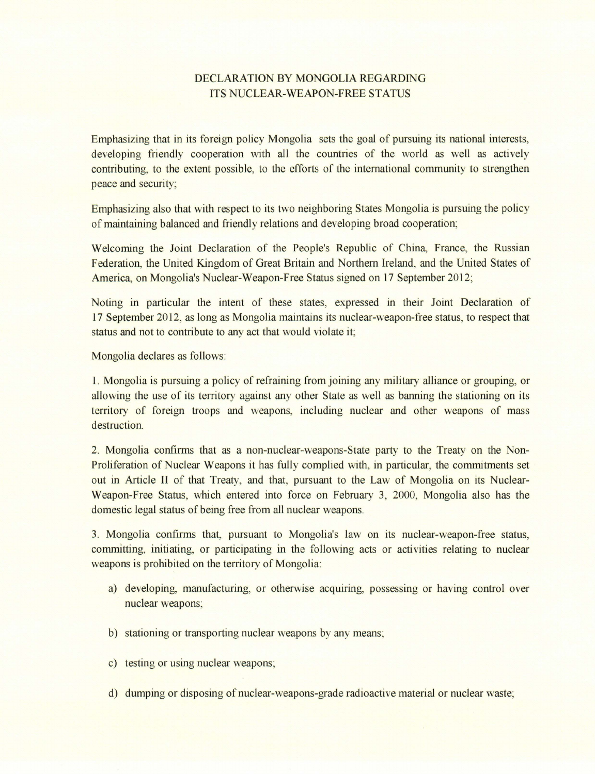## DECLARATION BY MONGOLIA REGARDING ITS NUCLEAR-WEAPON-FREE STATUS

Emphasizing that in its foreign policy Mongolia sets the goal of pursuing its national interests, developing friendly cooperation with all the countries of the world as well as actively contributing, to the extent possible, to the efforts of the international community to strengthen peace and security;

Emphasizing also that with respect to its two neighboring States Mongolia is pursuing the policy of maintaining balanced and friendly relations and developing broad cooperation;

Welcoming the Joint Declaration of the People's Republic of China, France, the Russian Federation, the United Kingdom of Great Britain and Northern Ireland, and the United States of America, on Mongolia's Nuclear-Weapon-Free Status signed on 17 September 2012;

Noting in particular the intent of these states, expressed in their Joint Declaration of 17 September 2012, as long as Mongolia maintains its nuclear-weapon-free status, to respect that status and not to contribute to any act that would violate it;

Mongolia declares as follows:

1. Mongolia is pursuing a policy of refraining from joining any military alliance or grouping, or allowing the use of its territory against any other State as well as banning the stationing on its territory of foreign troops and weapons, including nuclear and other weapons of mass destruction.

2. Mongolia confirms that as a non-nuclear-weapons-State party to the Treaty on the Non-Proliferation of Nuclear Weapons it has fully complied with, in particular, the commitments set out in Article II of that Treaty, and that, pursuant to the Law of Mongolia on its Nuclear-Weapon-Free Status, which entered into force on February 3, 2000, Mongolia also has the domestic legal status of being free from all nuclear weapons.

3. Mongolia confirms that, pursuant to Mongolia's law on its nuclear-weapon-free status, committing, initiating, or participating in the following acts or activities relating to nuclear weapons is prohibited on the territory of Mongolia:

- a) developing, manufacturing, or otherwise acquiring, possessing or having control over nuclear weapons;
- b) stationing or transporting nuclear weapons by any means;
- c) testing or using nuclear weapons;
- d) dumping or disposing of nuclear-weapons-grade radioactive material or nuclear waste;